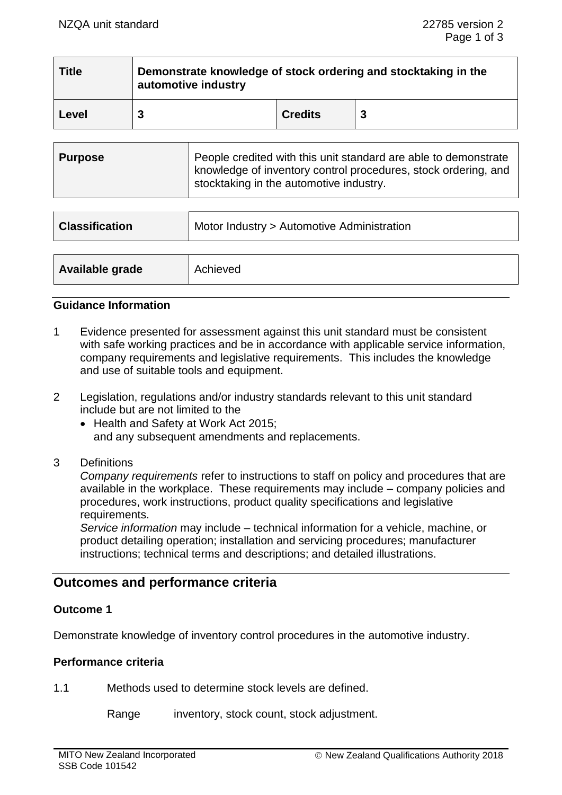| <b>Title</b> | Demonstrate knowledge of stock ordering and stocktaking in the<br>automotive industry |                |  |
|--------------|---------------------------------------------------------------------------------------|----------------|--|
| Level        |                                                                                       | <b>Credits</b> |  |

| People credited with this unit standard are able to demonstrate<br>  Purpose<br>knowledge of inventory control procedures, stock ordering, and<br>stocktaking in the automotive industry. |
|-------------------------------------------------------------------------------------------------------------------------------------------------------------------------------------------|
|-------------------------------------------------------------------------------------------------------------------------------------------------------------------------------------------|

| <b>Classification</b> | Motor Industry > Automotive Administration |  |  |
|-----------------------|--------------------------------------------|--|--|
|                       |                                            |  |  |
| Available grade       | Achieved                                   |  |  |

### **Guidance Information**

- 1 Evidence presented for assessment against this unit standard must be consistent with safe working practices and be in accordance with applicable service information, company requirements and legislative requirements. This includes the knowledge and use of suitable tools and equipment.
- 2 Legislation, regulations and/or industry standards relevant to this unit standard include but are not limited to the
	- Health and Safety at Work Act 2015; and any subsequent amendments and replacements.
- 3 Definitions

*Company requirements* refer to instructions to staff on policy and procedures that are available in the workplace. These requirements may include – company policies and procedures, work instructions, product quality specifications and legislative requirements.

*Service information* may include – technical information for a vehicle, machine, or product detailing operation; installation and servicing procedures; manufacturer instructions; technical terms and descriptions; and detailed illustrations.

# **Outcomes and performance criteria**

# **Outcome 1**

Demonstrate knowledge of inventory control procedures in the automotive industry.

#### **Performance criteria**

1.1 Methods used to determine stock levels are defined.

Range inventory, stock count, stock adjustment.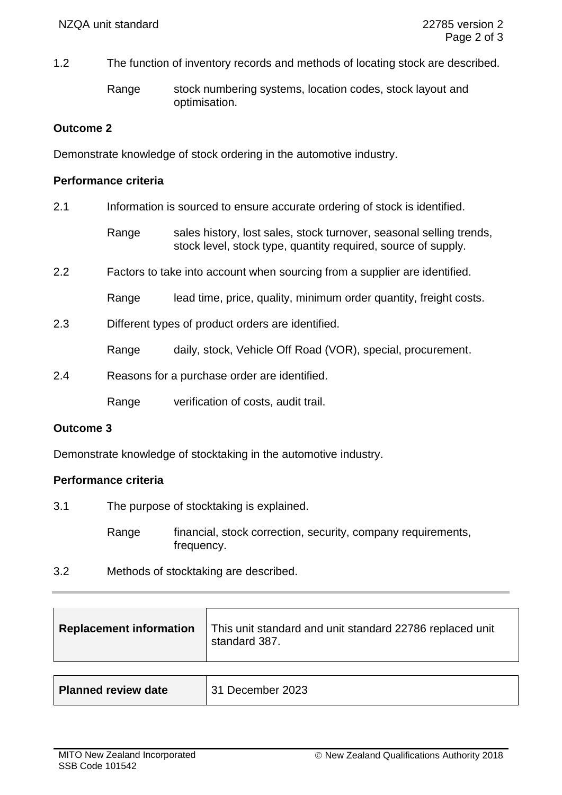1.2 The function of inventory records and methods of locating stock are described.

Range stock numbering systems, location codes, stock layout and optimisation.

# **Outcome 2**

Demonstrate knowledge of stock ordering in the automotive industry.

### **Performance criteria**

| 2.1 | Information is sourced to ensure accurate ordering of stock is identified. |                                                                                                                                      |  |
|-----|----------------------------------------------------------------------------|--------------------------------------------------------------------------------------------------------------------------------------|--|
|     | Range                                                                      | sales history, lost sales, stock turnover, seasonal selling trends,<br>stock level, stock type, quantity required, source of supply. |  |
| 2.2 | Factors to take into account when sourcing from a supplier are identified. |                                                                                                                                      |  |
|     | Range                                                                      | lead time, price, quality, minimum order quantity, freight costs.                                                                    |  |
| 2.3 | Different types of product orders are identified.                          |                                                                                                                                      |  |
|     | Range                                                                      | daily, stock, Vehicle Off Road (VOR), special, procurement.                                                                          |  |
| 2.4 | Reasons for a purchase order are identified.                               |                                                                                                                                      |  |
|     | Range                                                                      | verification of costs, audit trail.                                                                                                  |  |

# **Outcome 3**

Demonstrate knowledge of stocktaking in the automotive industry.

# **Performance criteria**

3.1 The purpose of stocktaking is explained.

Range financial, stock correction, security, company requirements, frequency.

3.2 Methods of stocktaking are described.

| <b>Replacement information</b> | This unit standard and unit standard 22786 replaced unit<br>standard 387. |  |
|--------------------------------|---------------------------------------------------------------------------|--|
|                                |                                                                           |  |
| <b>Planned review date</b>     | 31 December 2023                                                          |  |